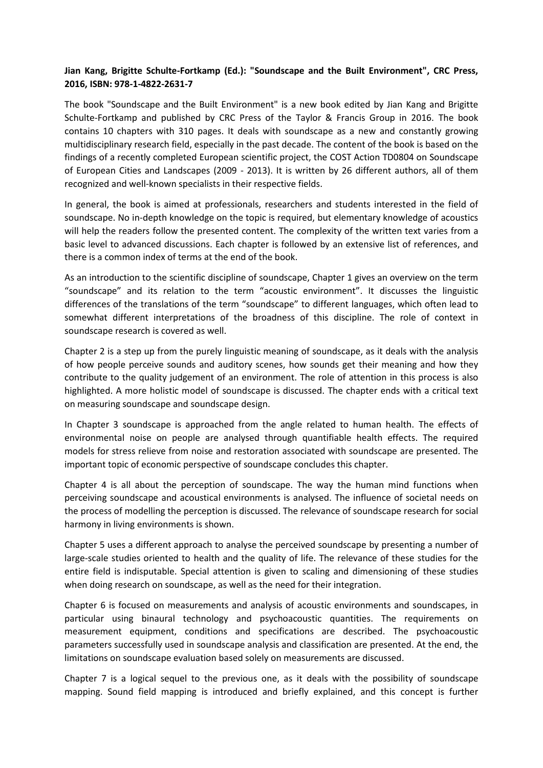## **Jian Kang, Brigitte Schulte-Fortkamp (Ed.): "Soundscape and the Built Environment", CRC Press, 2016, ISBN: 978-1-4822-2631-7**

The book "Soundscape and the Built Environment" is a new book edited by Jian Kang and Brigitte Schulte-Fortkamp and published by CRC Press of the Taylor & Francis Group in 2016. The book contains 10 chapters with 310 pages. It deals with soundscape as a new and constantly growing multidisciplinary research field, especially in the past decade. The content of the book is based on the findings of a recently completed European scientific project, the COST Action TD0804 on Soundscape of European Cities and Landscapes (2009 - 2013). It is written by 26 different authors, all of them recognized and well-known specialists in their respective fields.

In general, the book is aimed at professionals, researchers and students interested in the field of soundscape. No in-depth knowledge on the topic is required, but elementary knowledge of acoustics will help the readers follow the presented content. The complexity of the written text varies from a basic level to advanced discussions. Each chapter is followed by an extensive list of references, and there is a common index of terms at the end of the book.

As an introduction to the scientific discipline of soundscape, Chapter 1 gives an overview on the term "soundscape" and its relation to the term "acoustic environment". It discusses the linguistic differences of the translations of the term "soundscape" to different languages, which often lead to somewhat different interpretations of the broadness of this discipline. The role of context in soundscape research is covered as well.

Chapter 2 is a step up from the purely linguistic meaning of soundscape, as it deals with the analysis of how people perceive sounds and auditory scenes, how sounds get their meaning and how they contribute to the quality judgement of an environment. The role of attention in this process is also highlighted. A more holistic model of soundscape is discussed. The chapter ends with a critical text on measuring soundscape and soundscape design.

In Chapter 3 soundscape is approached from the angle related to human health. The effects of environmental noise on people are analysed through quantifiable health effects. The required models for stress relieve from noise and restoration associated with soundscape are presented. The important topic of economic perspective of soundscape concludes this chapter.

Chapter 4 is all about the perception of soundscape. The way the human mind functions when perceiving soundscape and acoustical environments is analysed. The influence of societal needs on the process of modelling the perception is discussed. The relevance of soundscape research for social harmony in living environments is shown.

Chapter 5 uses a different approach to analyse the perceived soundscape by presenting a number of large-scale studies oriented to health and the quality of life. The relevance of these studies for the entire field is indisputable. Special attention is given to scaling and dimensioning of these studies when doing research on soundscape, as well as the need for their integration.

Chapter 6 is focused on measurements and analysis of acoustic environments and soundscapes, in particular using binaural technology and psychoacoustic quantities. The requirements on measurement equipment, conditions and specifications are described. The psychoacoustic parameters successfully used in soundscape analysis and classification are presented. At the end, the limitations on soundscape evaluation based solely on measurements are discussed.

Chapter 7 is a logical sequel to the previous one, as it deals with the possibility of soundscape mapping. Sound field mapping is introduced and briefly explained, and this concept is further